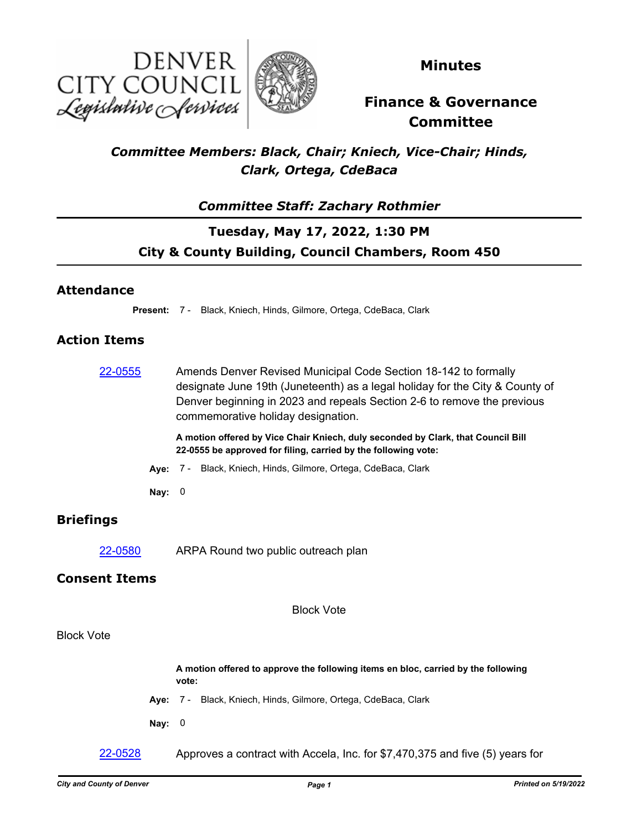



**Minutes**

# **Finance & Governance Committee**

#### *Committee Members: Black, Chair; Kniech, Vice-Chair; Hinds, Clark, Ortega, CdeBaca*

#### *Committee Staff: Zachary Rothmier*

## **Tuesday, May 17, 2022, 1:30 PM City & County Building, Council Chambers, Room 450**

#### **Attendance**

**Present:** 7 - Black, Kniech, Hinds, Gilmore, Ortega, CdeBaca, Clark

#### **Action Items**

| 22-0555              |          | Amends Denver Revised Municipal Code Section 18-142 to formally<br>designate June 19th (Juneteenth) as a legal holiday for the City & County of<br>Denver beginning in 2023 and repeals Section 2-6 to remove the previous<br>commemorative holiday designation. |
|----------------------|----------|------------------------------------------------------------------------------------------------------------------------------------------------------------------------------------------------------------------------------------------------------------------|
|                      |          | A motion offered by Vice Chair Kniech, duly seconded by Clark, that Council Bill<br>22-0555 be approved for filing, carried by the following vote:                                                                                                               |
|                      |          | Aye: 7 - Black, Kniech, Hinds, Gilmore, Ortega, CdeBaca, Clark                                                                                                                                                                                                   |
|                      | Nay: $0$ |                                                                                                                                                                                                                                                                  |
| <b>Briefings</b>     |          |                                                                                                                                                                                                                                                                  |
| 22-0580              |          | ARPA Round two public outreach plan                                                                                                                                                                                                                              |
| <b>Consent Items</b> |          |                                                                                                                                                                                                                                                                  |
|                      |          | <b>Block Vote</b>                                                                                                                                                                                                                                                |
| <b>Block Vote</b>    |          |                                                                                                                                                                                                                                                                  |
|                      |          | A motion offered to approve the following items en bloc, carried by the following<br>vote:                                                                                                                                                                       |

- **Aye:** 7 Black, Kniech, Hinds, Gilmore, Ortega, CdeBaca, Clark
- **Nay:** 0

 $22\n-0528$  Approves a contract with Accela, Inc. for \$7,470,375 and five (5) years for